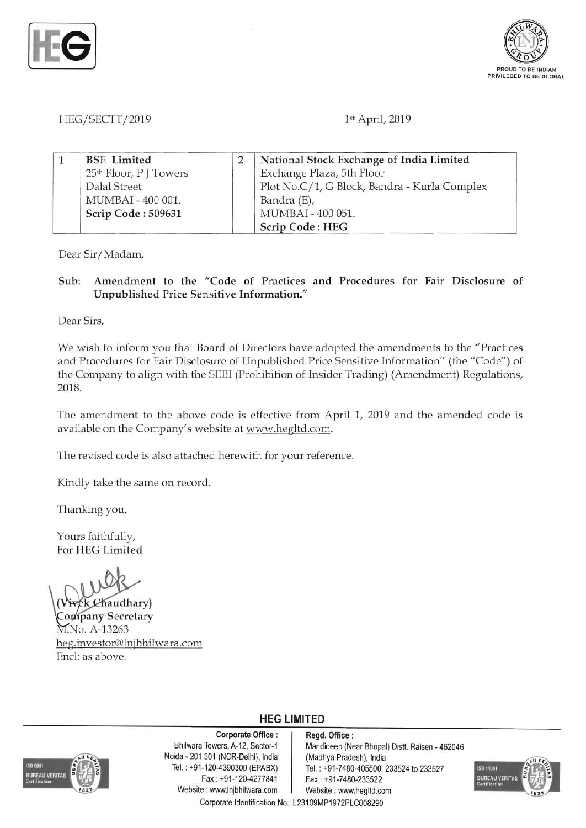



# *HEG/SECTT/2019* 1st April, 2019

|  | <b>BSE</b> Limited                 | National Stock Exchange of India Limited     |
|--|------------------------------------|----------------------------------------------|
|  | 25 <sup>th</sup> Floor, P J Towers | Exchange Plaza, 5th Floor                    |
|  | Dalal Street                       | Plot No.C/1, G Block, Bandra - Kurla Complex |
|  | MUMBAI - 400 001.                  | Bandra (E),                                  |
|  | Scrip Code: 509631                 | MUMBAI - 400 051.                            |
|  |                                    | Scrip Code: HEG                              |

Dear Sir/Madam,

Sub: Amendment to the "Code of Practices and Procedures for Fair Disclosure of Unpublished Price Sensitive Information."

Dear Sirs,

We wish to inform you that Board of Directors have adopted the amendments to the "Practices and Procedures for Pair Disclosure of Unpublished Price Sensitive Information" (the *"Code")* of the Company to align with the SEBI (Prohibition of Insider Trading) (Amendment) Regulations, 2018.

The amendment to the above code is effective from April 1, 2019 and the amended code is available on the Company's website at www.hegltd.com.

The revised code is also attached herewith for your reference.

Kindly take the same on record.

Thanking you,

Yours faithfully, For HEG Limited

ek Chaudhary) Company Secretary M.No. A-13263 heg.investor@lnjbhilwara.com End: as above.



Corporate Office : | Regd. Office : Noida - 201 301 (NCR-Delhi), India (Madhya Pradesh), India Fax: +91-120-4277841 Fax: +91-7480-233522 Website: www.lnjbhilwara.com | Website: www.hegltd.com

# **HEG LIMITED**

Bhilwara Towers, A-12, Sector-1 Mandideep (Near Bhopal) Distt. Raisen - 462046 Tel. : +91-120-4390300 (EPABX) Tel. : +91-7480-405500, 233524 to 233527 Corporate Identification No.: L23109MP1972PLC008290

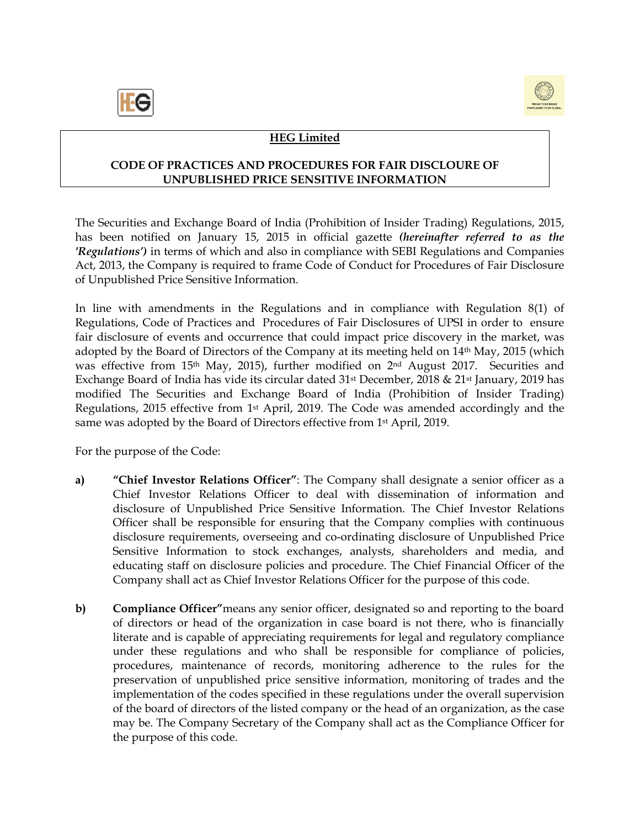



# **HEG Limited**

### **CODE OF PRACTICES AND PROCEDURES FOR FAIR DISCLOURE OF UNPUBLISHED PRICE SENSITIVE INFORMATION**

The Securities and Exchange Board of India (Prohibition of Insider Trading) Regulations, 2015, has been notified on January 15, 2015 in official gazette *(hereinafter referred to as the 'Regulations')* in terms of which and also in compliance with SEBI Regulations and Companies Act, 2013, the Company is required to frame Code of Conduct for Procedures of Fair Disclosure of Unpublished Price Sensitive Information.

In line with amendments in the Regulations and in compliance with Regulation 8(1) of Regulations, Code of Practices and Procedures of Fair Disclosures of UPSI in order to ensure fair disclosure of events and occurrence that could impact price discovery in the market, was adopted by the Board of Directors of the Company at its meeting held on 14th May, 2015 (which was effective from 15th May, 2015), further modified on 2nd August 2017. Securities and Exchange Board of India has vide its circular dated 31st December, 2018 & 21st January, 2019 has modified The Securities and Exchange Board of India (Prohibition of Insider Trading) Regulations, 2015 effective from 1st April, 2019. The Code was amended accordingly and the same was adopted by the Board of Directors effective from 1st April, 2019.

For the purpose of the Code:

- **a) "Chief Investor Relations Officer"**: The Company shall designate a senior officer as a Chief Investor Relations Officer to deal with dissemination of information and disclosure of Unpublished Price Sensitive Information. The Chief Investor Relations Officer shall be responsible for ensuring that the Company complies with continuous disclosure requirements, overseeing and co-ordinating disclosure of Unpublished Price Sensitive Information to stock exchanges, analysts, shareholders and media, and educating staff on disclosure policies and procedure. The Chief Financial Officer of the Company shall act as Chief Investor Relations Officer for the purpose of this code.
- **b) Compliance Officer"**means any senior officer, designated so and reporting to the board of directors or head of the organization in case board is not there, who is financially literate and is capable of appreciating requirements for legal and regulatory compliance under these regulations and who shall be responsible for compliance of policies, procedures, maintenance of records, monitoring adherence to the rules for the preservation of unpublished price sensitive information, monitoring of trades and the implementation of the codes specified in these regulations under the overall supervision of the board of directors of the listed company or the head of an organization, as the case may be. The Company Secretary of the Company shall act as the Compliance Officer for the purpose of this code.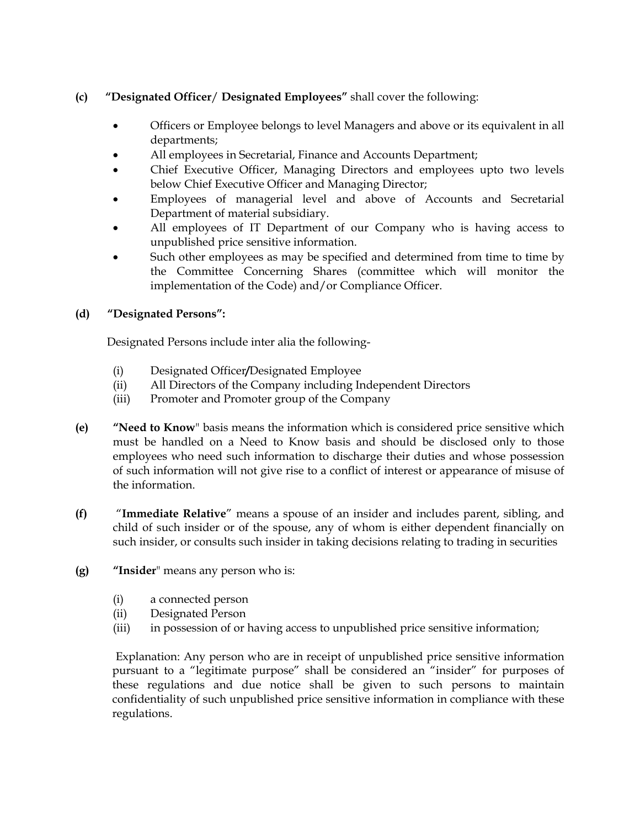# **(c) "Designated Officer**/ **Designated Employees"** shall cover the following:

- Officers or Employee belongs to level Managers and above or its equivalent in all departments;
- All employees in Secretarial, Finance and Accounts Department;
- Chief Executive Officer, Managing Directors and employees upto two levels below Chief Executive Officer and Managing Director;
- Employees of managerial level and above of Accounts and Secretarial Department of material subsidiary.
- All employees of IT Department of our Company who is having access to unpublished price sensitive information.
- Such other employees as may be specified and determined from time to time by the Committee Concerning Shares (committee which will monitor the implementation of the Code) and/or Compliance Officer.

# **(d) "Designated Persons":**

Designated Persons include inter alia the following-

- (i) Designated Officer**/**Designated Employee
- (ii) All Directors of the Company including Independent Directors
- (iii) Promoter and Promoter group of the Company
- **(e) "Need to Know**" basis means the information which is considered price sensitive which must be handled on a Need to Know basis and should be disclosed only to those employees who need such information to discharge their duties and whose possession of such information will not give rise to a conflict of interest or appearance of misuse of the information.
- **(f)** "**Immediate Relative**" means a spouse of an insider and includes parent, sibling, and child of such insider or of the spouse, any of whom is either dependent financially on such insider, or consults such insider in taking decisions relating to trading in securities
- **(g) "Insider**" means any person who is:
	- (i) a connected person
	- (ii) Designated Person
	- (iii) in possession of or having access to unpublished price sensitive information;

 Explanation: Any person who are in receipt of unpublished price sensitive information pursuant to a "legitimate purpose" shall be considered an "insider" for purposes of these regulations and due notice shall be given to such persons to maintain confidentiality of such unpublished price sensitive information in compliance with these regulations.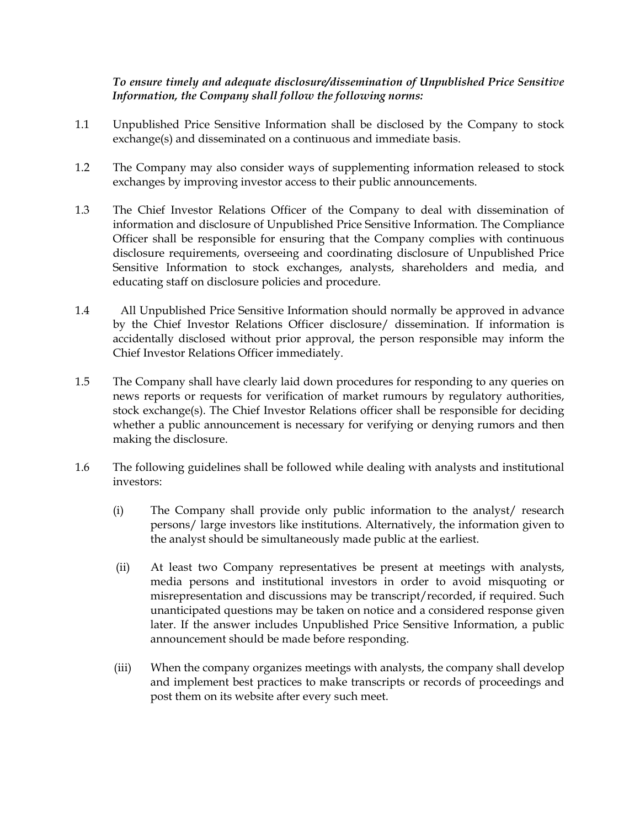## *To ensure timely and adequate disclosure/dissemination of Unpublished Price Sensitive Information, the Company shall follow the following norms:*

- 1.1 Unpublished Price Sensitive Information shall be disclosed by the Company to stock exchange(s) and disseminated on a continuous and immediate basis.
- 1.2 The Company may also consider ways of supplementing information released to stock exchanges by improving investor access to their public announcements.
- 1.3 The Chief Investor Relations Officer of the Company to deal with dissemination of information and disclosure of Unpublished Price Sensitive Information. The Compliance Officer shall be responsible for ensuring that the Company complies with continuous disclosure requirements, overseeing and coordinating disclosure of Unpublished Price Sensitive Information to stock exchanges, analysts, shareholders and media, and educating staff on disclosure policies and procedure.
- 1.4 All Unpublished Price Sensitive Information should normally be approved in advance by the Chief Investor Relations Officer disclosure/ dissemination. If information is accidentally disclosed without prior approval, the person responsible may inform the Chief Investor Relations Officer immediately.
- 1.5 The Company shall have clearly laid down procedures for responding to any queries on news reports or requests for verification of market rumours by regulatory authorities, stock exchange(s). The Chief Investor Relations officer shall be responsible for deciding whether a public announcement is necessary for verifying or denying rumors and then making the disclosure.
- 1.6 The following guidelines shall be followed while dealing with analysts and institutional investors:
	- (i) The Company shall provide only public information to the analyst/ research persons/ large investors like institutions. Alternatively, the information given to the analyst should be simultaneously made public at the earliest.
	- (ii) At least two Company representatives be present at meetings with analysts, media persons and institutional investors in order to avoid misquoting or misrepresentation and discussions may be transcript/recorded, if required. Such unanticipated questions may be taken on notice and a considered response given later. If the answer includes Unpublished Price Sensitive Information, a public announcement should be made before responding.
	- (iii) When the company organizes meetings with analysts, the company shall develop and implement best practices to make transcripts or records of proceedings and post them on its website after every such meet.